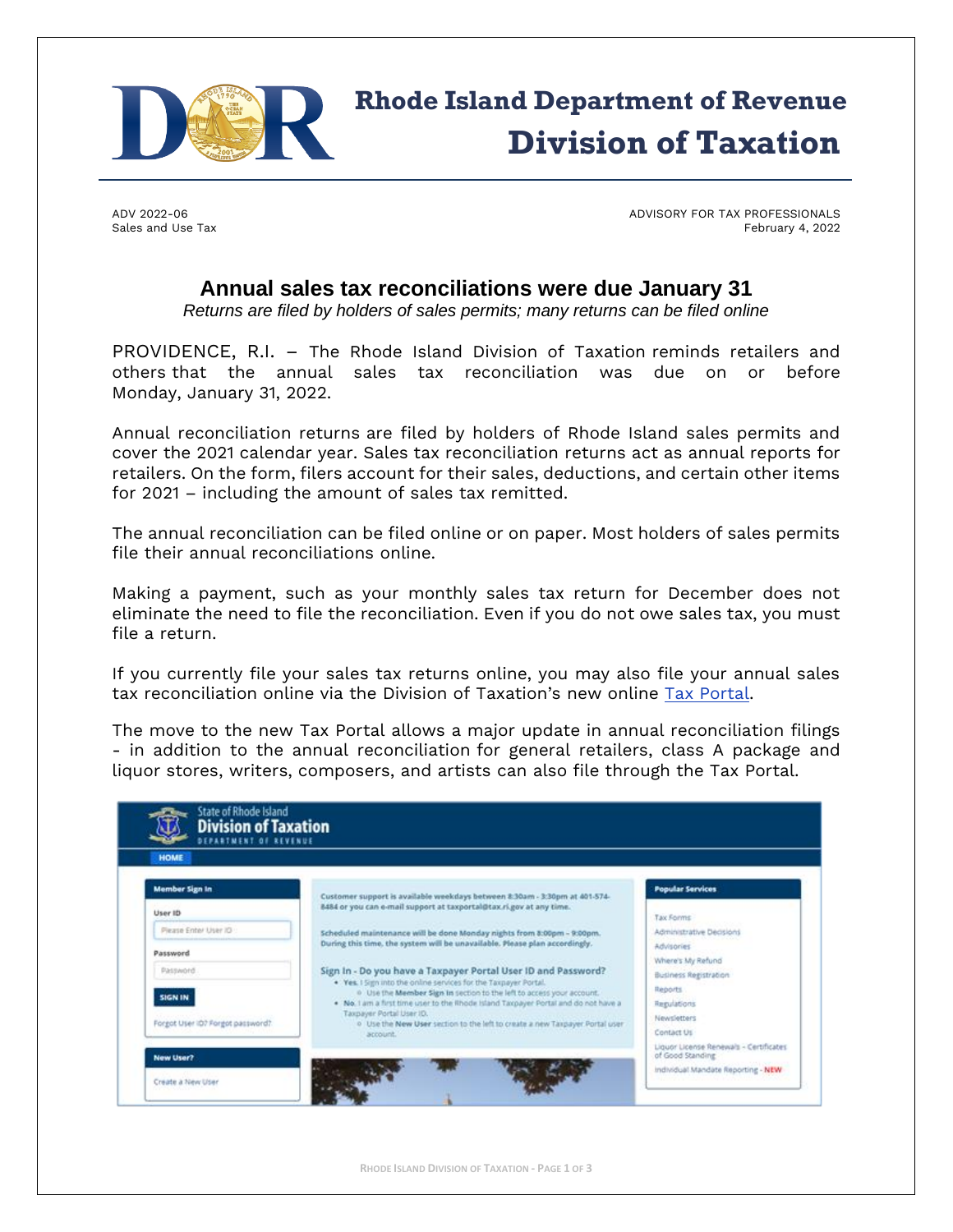

# Rhode Island Department of Revenue Division of Taxation

ADV 2022-06 Sales and Use Tax ADVISORY FOR TAX PROFESSIONALS February 4, 2022

## **Annual sales tax reconciliations were due January 31**

*Returns are filed by holders of sales permits; many returns can be filed online*

PROVIDENCE, R.I. – The Rhode Island Division of Taxation reminds retailers and others that the annual sales tax reconciliation was due on or before Monday, January 31, 2022.

Annual reconciliation returns are filed by holders of Rhode Island sales permits and cover the 2021 calendar year. Sales tax reconciliation returns act as annual reports for retailers. On the form, filers account for their sales, deductions, and certain other items for 2021 – including the amount of sales tax remitted.

The annual reconciliation can be filed online or on paper. Most holders of sales permits file their annual reconciliations online.

Making a payment, such as your monthly sales tax return for December does not eliminate the need to file the reconciliation. Even if you do not owe sales tax, you must file a return.

If you currently file your sales tax returns online, you may also file your annual sales tax reconciliation online via the Division of Taxation's new online [Tax Portal.](https://taxportal.ri.gov/)

The move to the new Tax Portal allows a major update in annual reconciliation filings - in addition to the annual reconciliation for general retailers, class A package and liquor stores, writers, composers, and artists can also file through the Tax Portal.

| <b>HOME</b>                      |                                                                                                                                                                                                   |                          |  |
|----------------------------------|---------------------------------------------------------------------------------------------------------------------------------------------------------------------------------------------------|--------------------------|--|
| <b>Member Sign In</b>            | Customer support is available weekdays between 8:30am - 3:30pm at 401-574-<br>8484 or you can e-mail support at taxportal@tax.ri.gov at any time.                                                 | <b>Popular Services</b>  |  |
| User ID                          |                                                                                                                                                                                                   | <b>Tax Forms</b>         |  |
| Please Enter User IO             | Scheduled maintenance will be done Monday nights from 8:00pm - 9:00pm.                                                                                                                            | Administrative Decisions |  |
| Password                         | During this time, the system will be unavailable. Please plan accordingly.                                                                                                                        | Advisories               |  |
| Password.                        |                                                                                                                                                                                                   | Where's My Refund        |  |
|                                  | Sign In - Do you have a Taxpayer Portal User ID and Password?<br>. Yes. I Sign into the online services for the Taxpayer Portal.                                                                  | Business Registration    |  |
| <b>SIGN IN</b>                   | <sup>0</sup> Use the Member Sign in section to the left to access your account.<br>. No. I am a first time user to the Rhode Island Taxpayer Portal and do not have a<br>Taxpayer Portal User ID. | Reports                  |  |
|                                  |                                                                                                                                                                                                   | Regulations              |  |
| Forgot User ID? Forgot password? | o Use the New User section to the left to create a new Taxpayer Portal user                                                                                                                       | Newsletters              |  |
|                                  | account.                                                                                                                                                                                          | Contact Us               |  |

**RHODE ISLAND DIVISION OF TAXATION - PAGE 1 OF 3**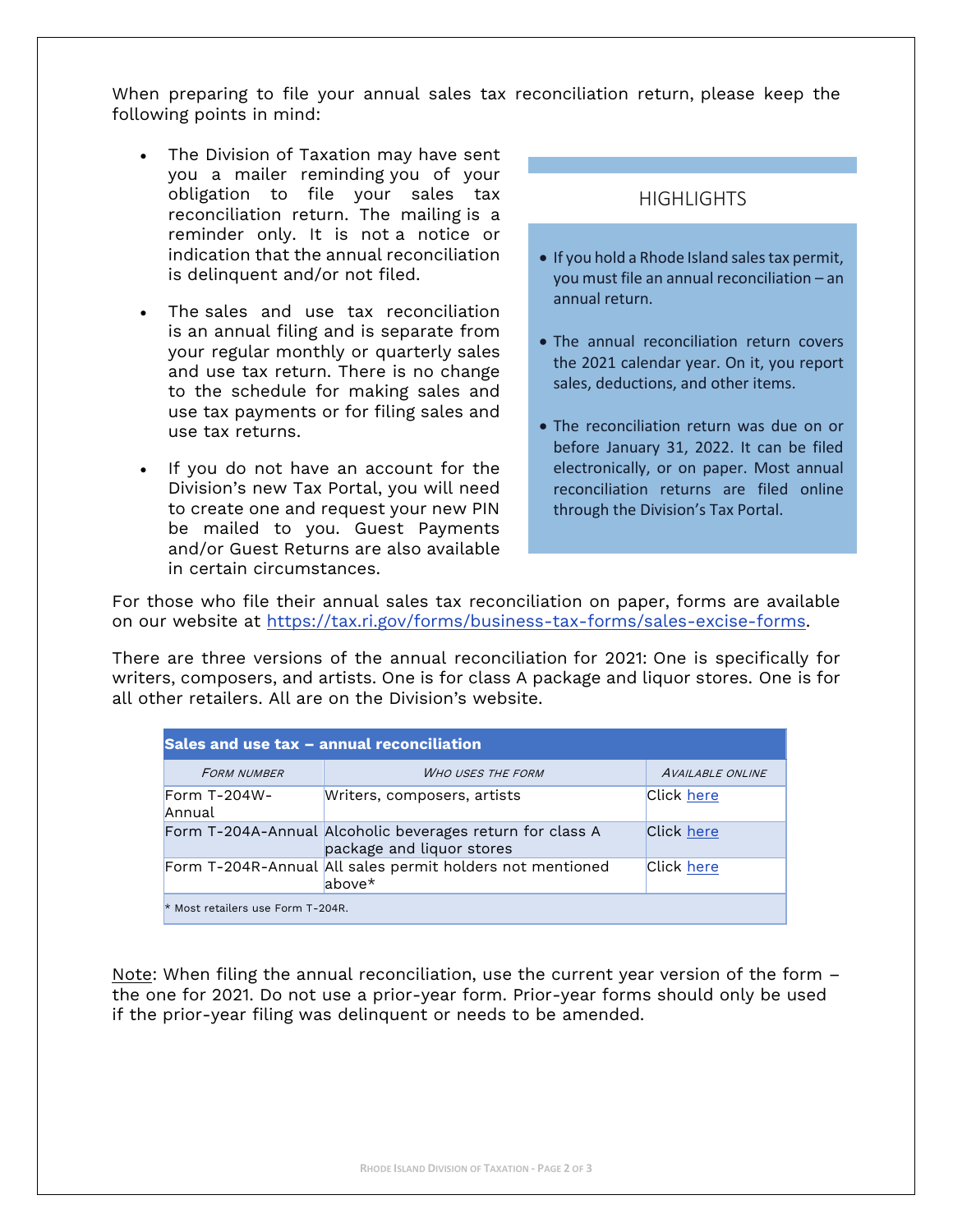When preparing to file your annual sales tax reconciliation return, please keep the following points in mind:

- The Division of Taxation may have sent you a mailer reminding you of your obligation to file your sales tax reconciliation return. The mailing is a reminder only. It is not a notice or indication that the annual reconciliation is delinquent and/or not filed.
- The sales and use tax reconciliation is an annual filing and is separate from your regular monthly or quarterly sales and use tax return. There is no change to the schedule for making sales and use tax payments or for filing sales and use tax returns.
- If you do not have an account for the Division's new Tax Portal, you will need to create one and request your new PIN be mailed to you. Guest Payments and/or Guest Returns are also available in certain circumstances.

## **HIGHLIGHTS**

- If you hold a Rhode Island sales tax permit, you must file an annual reconciliation – an annual return.
- The annual reconciliation return covers the 2021 calendar year. On it, you report sales, deductions, and other items.
- The reconciliation return was due on or before January 31, 2022. It can be filed electronically, or on paper. Most annual reconciliation returns are filed online through the Division's Tax Portal.

For those who file their annual sales tax reconciliation on paper, forms are available on our website at [https://tax.ri.gov/forms/business-tax-forms/sales-excise-forms.](https://tax.ri.gov/forms/business-tax-forms/sales-excise-forms)

There are three versions of the annual reconciliation for 2021: One is specifically for writers, composers, and artists. One is for class A package and liquor stores. One is for all other retailers. All are on the Division's website.

| Sales and use tax - annual reconciliation |                                                                                        |                         |  |
|-------------------------------------------|----------------------------------------------------------------------------------------|-------------------------|--|
| <b>FORM NUMBER</b>                        | <b>WHO USES THE FORM</b>                                                               | <b>AVAILABLE ONLINE</b> |  |
| Form $T-204W-$<br>Annual                  | Writers, composers, artists                                                            | Click here              |  |
|                                           | Form T-204A-Annual Alcoholic beverages return for class A<br>package and liquor stores | Click here              |  |
|                                           | Form T-204R-Annual All sales permit holders not mentioned<br>$above*$                  | Click here              |  |
| * Most retailers use Form T-204R.         |                                                                                        |                         |  |

Note: When filing the annual reconciliation, use the current year version of the form – the one for 2021. Do not use a prior-year form. Prior-year forms should only be used if the prior-year filing was delinquent or needs to be amended.